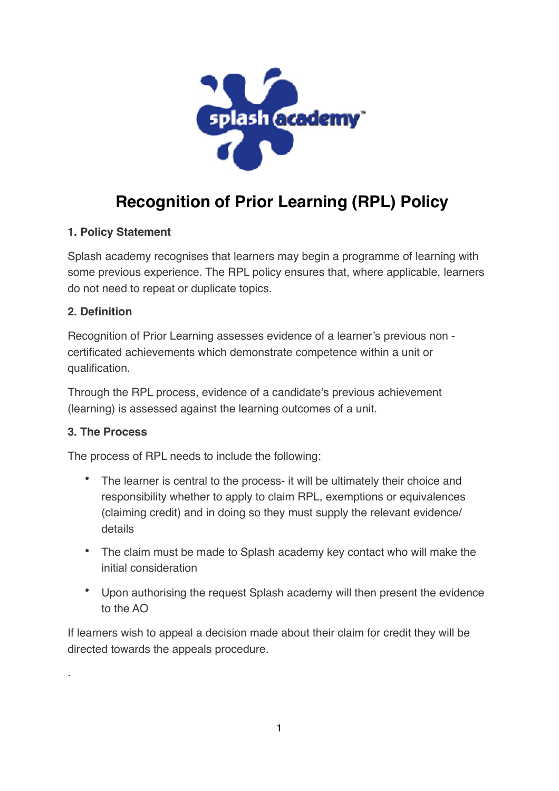

# **Recognition of Prior Learning (RPL) Policy**

# **1. Policy Statement**

Splash academy recognises that learners may begin a programme of learning with some previous experience. The RPL policy ensures that, where applicable, learners do not need to repeat or duplicate topics.

## **2. Definition**

Recognition of Prior Learning assesses evidence of a learner's previous non certificated achievements which demonstrate competence within a unit or qualification.

Through the RPL process, evidence of a candidate's previous achievement (learning) is assessed against the learning outcomes of a unit.

# **3. The Process**

.

The process of RPL needs to include the following:

- The learner is central to the process- it will be ultimately their choice and responsibility whether to apply to claim RPL, exemptions or equivalences (claiming credit) and in doing so they must supply the relevant evidence/ details
- The claim must be made to Splash academy key contact who will make the initial consideration
- Upon authorising the request Splash academy will then present the evidence to the AO

If learners wish to appeal a decision made about their claim for credit they will be directed towards the appeals procedure.